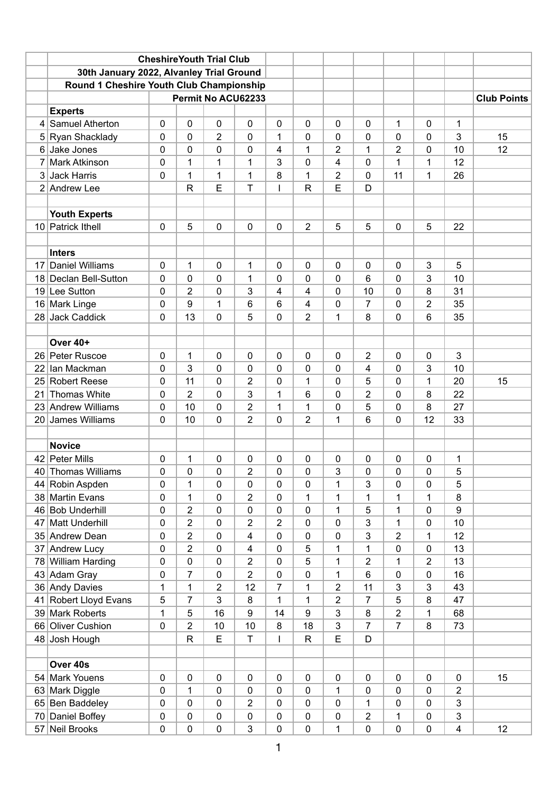|                |                                          |             |                | <b>Cheshire Youth Trial Club</b> |                         |                |                         |                |                |                |                |                         |                    |
|----------------|------------------------------------------|-------------|----------------|----------------------------------|-------------------------|----------------|-------------------------|----------------|----------------|----------------|----------------|-------------------------|--------------------|
|                | 30th January 2022, Alvanley Trial Ground |             |                |                                  |                         |                |                         |                |                |                |                |                         |                    |
|                | Round 1 Cheshire Youth Club Championship |             |                |                                  |                         |                |                         |                |                |                |                |                         |                    |
|                |                                          |             |                |                                  | Permit No ACU62233      |                |                         |                |                |                |                |                         | <b>Club Points</b> |
|                | <b>Experts</b>                           |             |                |                                  |                         |                |                         |                |                |                |                |                         |                    |
|                | 4 Samuel Atherton                        | 0           | $\mathbf 0$    | $\mathbf 0$                      | 0                       | $\mathbf 0$    | $\mathbf 0$             | $\mathbf 0$    | 0              | 1              | 0              | 1                       |                    |
|                | 5 Ryan Shacklady                         | 0           | 0              | $\overline{2}$                   | 0                       | 1              | $\mathbf 0$             | 0              | 0              | 0              | 0              | 3                       | 15                 |
| 6              | Jake Jones                               | 0           | 0              | 0                                | 0                       | $\overline{4}$ | 1                       | 2              | 1              | $\overline{2}$ | 0              | 10                      | 12                 |
| $\overline{7}$ | <b>Mark Atkinson</b>                     | 0           | 1              | 1                                | 1                       | 3              | 0                       | 4              | 0              | 1              | 1              | 12                      |                    |
| 3              | Jack Harris                              | 0           | 1              | 1                                | $\mathbf{1}$            | 8              | 1                       | 2              | 0              | 11             | 1              | 26                      |                    |
|                | 2 Andrew Lee                             |             | $\mathsf{R}$   | E                                | T                       | I              | $\mathsf{R}$            | E              | D              |                |                |                         |                    |
|                |                                          |             |                |                                  |                         |                |                         |                |                |                |                |                         |                    |
|                | <b>Youth Experts</b>                     |             |                |                                  |                         |                |                         |                |                |                |                |                         |                    |
|                | 10 Patrick Ithell                        | 0           | 5              | $\mathbf 0$                      | 0                       | $\mathbf 0$    | $\overline{2}$          | 5              | 5              | 0              | 5              | 22                      |                    |
|                |                                          |             |                |                                  |                         |                |                         |                |                |                |                |                         |                    |
|                | <b>Inters</b>                            |             |                |                                  |                         |                |                         |                |                |                |                |                         |                    |
| 17             | <b>Daniel Williams</b>                   | 0           | 1              | 0                                | 1                       | $\mathbf 0$    | 0                       | $\mathbf 0$    | 0              | 0              | $\mathbf{3}$   | 5                       |                    |
|                | 18 Declan Bell-Sutton                    | 0           | 0              | 0                                | 1                       | $\mathbf{0}$   | 0                       | 0              | 6              | 0              | 3              | 10                      |                    |
|                | 19 Lee Sutton                            | 0           | $\overline{2}$ | 0                                | 3                       | 4              | 4                       | 0              | 10             | 0              | 8              | 31                      |                    |
|                | 16 Mark Linge                            | 0           | 9              | 1                                | 6                       | $6\phantom{1}$ | $\overline{\mathbf{4}}$ | 0              | 7              | 0              | $\overline{2}$ | 35                      |                    |
|                | 28 Jack Caddick                          | 0           | 13             | 0                                | 5                       | $\overline{0}$ | $\overline{2}$          | 1              | 8              | 0              | 6              | 35                      |                    |
|                |                                          |             |                |                                  |                         |                |                         |                |                |                |                |                         |                    |
|                | Over 40+                                 |             |                |                                  |                         |                |                         |                |                |                |                |                         |                    |
|                | 26 Peter Ruscoe                          | 0           | $\mathbf{1}$   | $\mathbf 0$                      | 0                       | 0              | 0                       | 0              | $\overline{2}$ | 0              | 0              | 3                       |                    |
| 22             | lan Mackman                              | 0           | 3              | 0                                | 0                       | $\mathbf 0$    | 0                       | 0              | 4              | 0              | 3              | 10                      |                    |
|                | 25 Robert Reese                          | 0           | 11             | $\mathbf 0$                      | $\overline{2}$          | $\mathbf 0$    | 1                       | 0              | 5              | $\mathbf 0$    | 1              | 20                      | 15                 |
| 21             | <b>Thomas White</b>                      | 0           | $\overline{2}$ | 0                                | 3                       | 1              | 6                       | 0              | $\overline{2}$ | 0              | 8              | 22                      |                    |
|                | 23 Andrew Williams                       | 0           | 10             | 0                                | $\overline{2}$          | 1              | 1                       | 0              | 5              | 0              | 8              | 27                      |                    |
|                | 20 James Williams                        | 0           | 10             | 0                                | $\overline{2}$          | $\mathbf 0$    | $\overline{2}$          | 1              | 6              | 0              | 12             | 33                      |                    |
|                |                                          |             |                |                                  |                         |                |                         |                |                |                |                |                         |                    |
|                | <b>Novice</b>                            |             |                |                                  |                         |                |                         |                |                |                |                |                         |                    |
|                | 42 Peter Mills                           | 0           | 1              | 0                                | 0                       | 0              | 0                       | 0              | 0              | 0              | 0              | 1                       |                    |
|                | 40 Thomas Williams                       | 0           | $\pmb{0}$      | 0                                | $\overline{2}$          | $\pmb{0}$      | $\pmb{0}$               | 3              | 0              | $\mathbf 0$    | $\pmb{0}$      | 5                       |                    |
|                | 44 Robin Aspden                          | 0           | 1              | 0                                | 0                       | $\mathbf 0$    | $\mathbf 0$             | 1              | 3              | 0              | 0              | 5                       |                    |
|                | 38 Martin Evans                          | $\mathbf 0$ | $\mathbf{1}$   | $\pmb{0}$                        | $\overline{2}$          | $\mathbf 0$    | 1                       | $\mathbf 1$    | 1              | 1              | 1              | 8                       |                    |
|                | 46 Bob Underhill                         | 0           | 2              | 0                                | 0                       | 0              | $\pmb{0}$               | 1              | 5              | 1              | 0              | 9                       |                    |
|                | 47 Matt Underhill                        | 0           | $\overline{2}$ | 0                                | $\overline{2}$          | $\overline{2}$ | 0                       | 0              | 3              | 1              | 0              | 10                      |                    |
|                | 35 Andrew Dean                           | 0           | $\overline{c}$ | 0                                | 4                       | $\mathbf 0$    | $\pmb{0}$               | 0              | 3              | 2              | 1              | 12                      |                    |
|                | 37 Andrew Lucy                           | 0           | $\overline{2}$ | 0                                | $\overline{\mathbf{4}}$ | $\mathbf 0$    | 5                       | 1              | 1              | 0              | 0              | 13                      |                    |
|                | 78 William Harding                       | 0           | $\pmb{0}$      | $\pmb{0}$                        | $\overline{2}$          | $\mathbf 0$    | 5                       | 1              | $\overline{2}$ | 1              | $\overline{2}$ | 13                      |                    |
|                | 43 Adam Gray                             | 0           | 7              | 0                                | $\overline{2}$          | $\mathbf 0$    | $\mathbf 0$             | 1              | 6              | $\mathbf 0$    | 0              | 16                      |                    |
|                | 36 Andy Davies                           | $\mathbf 1$ | 1              | $\overline{2}$                   | 12                      | $\overline{7}$ | 1                       | $\overline{2}$ | 11             | 3              | 3              | 43                      |                    |
|                | 41 Robert Lloyd Evans                    | 5           | $\overline{7}$ | 3                                | 8                       | 1              | 1                       | $\overline{c}$ | 7              | 5              | 8              | 47                      |                    |
|                | 39 Mark Roberts                          | 1           | 5              | 16                               | 9                       | 14             | $\boldsymbol{9}$        | 3              | 8              | $\overline{2}$ | 1              | 68                      |                    |
|                | 66 Oliver Cushion                        | 0           | $\overline{2}$ | 10                               | 10                      | 8              | 18                      | 3              | 7              | $\overline{7}$ | 8              | 73                      |                    |
|                | 48 Josh Hough                            |             | $\mathsf R$    | E                                | T                       | I              | $\mathsf{R}$            | E              | D              |                |                |                         |                    |
|                |                                          |             |                |                                  |                         |                |                         |                |                |                |                |                         |                    |
|                | Over 40s                                 |             |                |                                  |                         |                |                         |                |                |                |                |                         |                    |
|                | 54 Mark Youens                           | $\pmb{0}$   | $\pmb{0}$      | $\pmb{0}$                        | $\pmb{0}$               | $\mathbf 0$    | $\pmb{0}$               | $\pmb{0}$      | $\pmb{0}$      | $\pmb{0}$      | $\pmb{0}$      | $\pmb{0}$               | 15                 |
|                | 63 Mark Diggle                           | 0           | 1              | 0                                | 0                       | $\mathbf 0$    | $\pmb{0}$               | 1              | 0              | $\pmb{0}$      | 0              | 2                       |                    |
|                | 65 Ben Baddeley                          | 0           | $\pmb{0}$      | 0                                | $\overline{2}$          | $\mathbf 0$    | 0                       | $\pmb{0}$      | 1              | $\pmb{0}$      | 0              | 3                       |                    |
|                | 70 Daniel Boffey                         | 0           | $\pmb{0}$      | 0                                | 0                       | $\mathbf 0$    | $\pmb{0}$               | 0              | $\overline{2}$ | 1              | 0              | 3                       |                    |
|                | 57 Neil Brooks                           | 0           | $\pmb{0}$      | $\pmb{0}$                        | 3                       | $\pmb{0}$      | $\pmb{0}$               | 1              | 0              | 0              | 0              | $\overline{\mathbf{4}}$ | 12                 |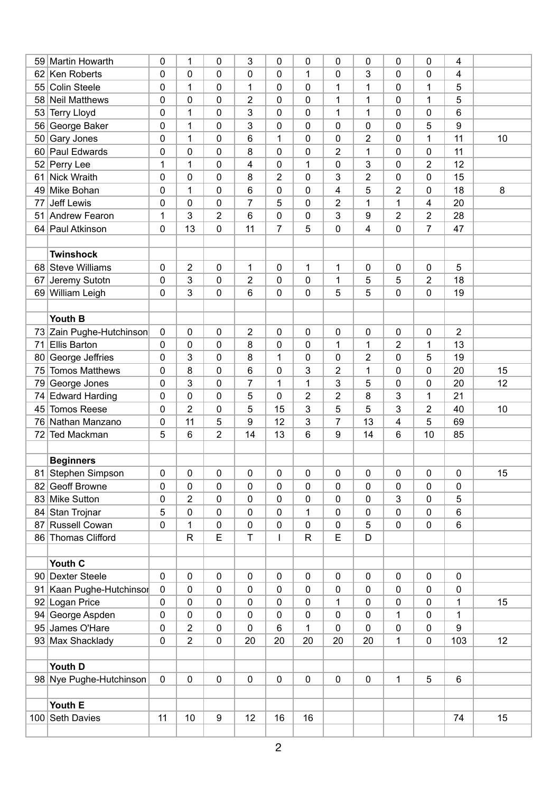|    | 59 Martin Howarth                           | 0           | 1              | 0                | 3              | $\mathbf 0$              | $\mathbf 0$          | 0                       | 0                       | 0              | 0                   | 4              |    |
|----|---------------------------------------------|-------------|----------------|------------------|----------------|--------------------------|----------------------|-------------------------|-------------------------|----------------|---------------------|----------------|----|
| 62 | Ken Roberts                                 | 0           | 0              | 0                | 0              | $\mathbf 0$              | 1                    | 0                       | 3                       | 0              | $\mathbf 0$         | 4              |    |
| 55 | <b>Colin Steele</b>                         | 0           | 1              | 0                | 1              | $\mathbf 0$              | $\mathbf 0$          | 1                       | $\mathbf 1$             | 0              | 1                   | 5              |    |
| 58 | <b>Neil Matthews</b>                        | 0           | 0              | 0                | $\overline{2}$ | $\mathbf 0$              | 0                    | 1                       | 1                       | 0              | 1                   | 5              |    |
| 53 | <b>Terry Lloyd</b>                          | 0           | 1              | 0                | 3              | $\mathbf 0$              | $\mathbf 0$          | 1                       | $\mathbf 1$             | 0              | $\mathbf 0$         | 6              |    |
| 56 | George Baker                                | 0           | 1              | 0                | 3              | $\mathbf 0$              | $\mathbf 0$          | 0                       | $\mathbf 0$             | 0              | 5                   | 9              |    |
| 50 | Gary Jones                                  | 0           | 1              | 0                | 6              | 1                        | $\mathbf 0$          | 0                       | 2                       | 0              | 1                   | 11             | 10 |
| 60 | Paul Edwards                                | 0           | 0              | 0                | 8              | $\mathbf 0$              | $\mathbf 0$          | 2                       | $\mathbf 1$             | 0              | $\mathbf 0$         | 11             |    |
| 52 | Perry Lee                                   | 1           | 1              | 0                | 4              | $\mathbf 0$              | 1                    | 0                       | 3                       | 0              | 2                   | 12             |    |
| 61 | Nick Wraith                                 | 0           | 0              | 0                | 8              | $\overline{2}$           | $\overline{0}$       | 3                       | $\overline{\mathbf{c}}$ | 0              | $\mathbf 0$         | 15             |    |
| 49 | Mike Bohan                                  | 0           | 1              | $\boldsymbol{0}$ | 6              | $\mathbf 0$              | 0                    | $\overline{\mathbf{4}}$ | 5                       | $\overline{2}$ | 0                   | 18             | 8  |
| 77 | Jeff Lewis                                  | 0           | 0              | 0                | $\overline{7}$ | 5                        | $\mathbf 0$          | 2                       | $\mathbf 1$             | $\mathbf{1}$   | 4                   | 20             |    |
|    | 51 Andrew Fearon                            | 1           | 3              | $\overline{2}$   | 6              | $\mathbf 0$              | $\mathbf 0$          | 3                       | 9                       | $\overline{2}$ | $\overline{2}$      | 28             |    |
|    | 64 Paul Atkinson                            | $\mathbf 0$ | 13             | 0                | 11             | $\overline{7}$           | 5                    | $\pmb{0}$               | 4                       | 0              | $\overline{7}$      | 47             |    |
|    |                                             |             |                |                  |                |                          |                      |                         |                         |                |                     |                |    |
|    | <b>Twinshock</b>                            |             |                |                  |                |                          |                      |                         |                         |                |                     |                |    |
|    | 68 Steve Williams                           | 0           | 2              | 0                | 1              | $\mathbf 0$              | 1                    | 1                       | 0                       | 0              | 0                   | 5              |    |
| 67 | Jeremy Sutotn                               | 0           | 3              | 0                | 2              | $\mathbf 0$              | $\mathbf 0$          | 1                       | 5                       | 5              | 2                   | 18             |    |
|    | 69 William Leigh                            | $\mathbf 0$ | 3              | 0                | 6              | $\mathbf 0$              | $\mathbf 0$          | 5                       | 5                       | 0              | 0                   | 19             |    |
|    |                                             |             |                |                  |                |                          |                      |                         |                         |                |                     |                |    |
|    | Youth B                                     |             |                |                  |                |                          |                      |                         |                         |                |                     |                |    |
|    | 73 Zain Pughe-Hutchinson                    | $\mathbf 0$ | 0              | 0                | $\overline{2}$ | $\mathbf 0$              | $\mathbf 0$          | $\mathbf 0$             | 0                       | 0              | 0                   | $\overline{2}$ |    |
| 71 | <b>Ellis Barton</b>                         | 0           | 0              | 0                | 8              | $\mathbf 0$              | $\mathbf 0$          | 1                       | $\mathbf 1$             | $\overline{2}$ | 1                   | 13             |    |
| 80 | George Jeffries                             | 0           | 3              | $\pmb{0}$        | 8              | $\mathbf{1}$             | $\mathbf 0$          | 0                       | $\overline{\mathbf{c}}$ | 0              | 5                   | 19             |    |
| 75 | <b>Tomos Matthews</b>                       | 0           | 8              |                  | 6              | $\mathbf 0$              | 3                    |                         | $\mathbf 1$             | 0              | 0                   | 20             | 15 |
|    |                                             | 0           | 3              | 0<br>0           | $\overline{7}$ | 1                        | 1                    | 2<br>3                  | 5                       | 0              | $\mathbf 0$         | 20             | 12 |
| 79 | George Jones                                |             |                |                  |                | $\mathbf 0$              |                      |                         |                         |                |                     |                |    |
| 74 | <b>Edward Harding</b><br><b>Tomos Reese</b> | 0           | 0              | 0                | 5<br>5         | 15                       | $\overline{2}$<br>3  | $\overline{2}$          | 8<br>5                  | 3<br>3         | 1<br>$\overline{2}$ | 21<br>40       |    |
| 45 |                                             | 0           | 2              | 0                |                |                          |                      | 5                       |                         |                |                     |                | 10 |
| 76 | Nathan Manzano                              | $\pmb{0}$   | 11             | 5                | 9              | 12                       | 3<br>$6\phantom{1}6$ | 7                       | 13<br>14                | 4              | 5                   | 69             |    |
| 72 | <b>Ted Mackman</b>                          | 5           | 6              | $\overline{2}$   | 14             | 13                       |                      | 9                       |                         | 6              | 10                  | 85             |    |
|    |                                             |             |                |                  |                |                          |                      |                         |                         |                |                     |                |    |
|    | <b>Beginners</b>                            |             |                |                  |                |                          |                      |                         |                         |                |                     |                |    |
|    | 81 Stephen Simpson                          | $\pmb{0}$   | $\pmb{0}$      | 0                | 0              | $\pmb{0}$                | $\pmb{0}$            | $\pmb{0}$               | $\pmb{0}$               | 0              | $\pmb{0}$           | $\pmb{0}$      | 15 |
|    | 82 Geoff Browne                             | 0           | 0              | 0                | 0              | 0                        | $\mathbf 0$          | 0                       | 0                       | 0              | 0                   | 0              |    |
|    | 83 Mike Sutton                              | 0           | 2              | 0                | 0              | $\mathbf 0$              | $\mathbf 0$          | 0                       | 0                       | 3              | 0                   | 5              |    |
|    | 84 Stan Trojnar                             | 5           | $\pmb{0}$      | 0                | $\pmb{0}$      | $\mathbf 0$              | 1                    | 0                       | 0                       | 0              | $\pmb{0}$           | 6              |    |
|    | 87 Russell Cowan                            | $\mathbf 0$ | 1              | 0                | 0              | $\mathbf 0$              | $\mathbf 0$          | 0                       | 5                       | 0              | $\mathbf 0$         | 6              |    |
|    | 86 Thomas Clifford                          |             | $\mathsf R$    | E                | T              | $\overline{\phantom{a}}$ | ${\sf R}$            | E                       | D                       |                |                     |                |    |
|    |                                             |             |                |                  |                |                          |                      |                         |                         |                |                     |                |    |
|    | Youth C                                     |             |                |                  |                |                          |                      |                         |                         |                |                     |                |    |
|    | 90 Dexter Steele                            | $\mathbf 0$ | $\pmb{0}$      | $\mathbf 0$      | 0              | $\mathbf 0$              | $\mathbf 0$          | 0                       | $\mathbf 0$             | 0              | $\mathbf 0$         | $\pmb{0}$      |    |
|    | 91 Kaan Pughe-Hutchinsor                    | $\pmb{0}$   | 0              | 0                | 0              | 0                        | $\pmb{0}$            | 0                       | 0                       | 0              | 0                   | 0              |    |
|    | 92 Logan Price                              | $\pmb{0}$   | 0              | 0                | 0              | $\pmb{0}$                | $\boldsymbol{0}$     | 1                       | 0                       | 0              | 0                   | 1              | 15 |
|    | 94 George Aspden                            | 0           | 0              | 0                | 0              | $\mathbf 0$              | 0                    | 0                       | 0                       | $\mathbf{1}$   | 0                   | 1              |    |
|    | 95 James O'Hare                             | 0           | $\overline{2}$ | 0                | $\pmb{0}$      | 6                        | $\mathbf{1}$         | 0                       | $\pmb{0}$               | 0              | $\mathbf 0$         | 9              |    |
|    | 93 Max Shacklady                            | $\pmb{0}$   | $\overline{c}$ | 0                | 20             | 20                       | 20                   | 20                      | 20                      | 1              | 0                   | 103            | 12 |
|    |                                             |             |                |                  |                |                          |                      |                         |                         |                |                     |                |    |
|    | Youth D                                     |             |                |                  |                |                          |                      |                         |                         |                |                     |                |    |
|    | 98 Nye Pughe-Hutchinson                     | $\pmb{0}$   | $\pmb{0}$      | $\pmb{0}$        | $\pmb{0}$      | $\pmb{0}$                | $\pmb{0}$            | 0                       | $\pmb{0}$               | 1              | 5                   | 6              |    |
|    |                                             |             |                |                  |                |                          |                      |                         |                         |                |                     |                |    |
|    | Youth E                                     |             |                |                  |                |                          |                      |                         |                         |                |                     |                |    |
|    | 100 Seth Davies                             | 11          | 10             | $\boldsymbol{9}$ | 12             | 16                       | 16                   |                         |                         |                |                     | 74             | 15 |
|    |                                             |             |                |                  |                |                          |                      |                         |                         |                |                     |                |    |